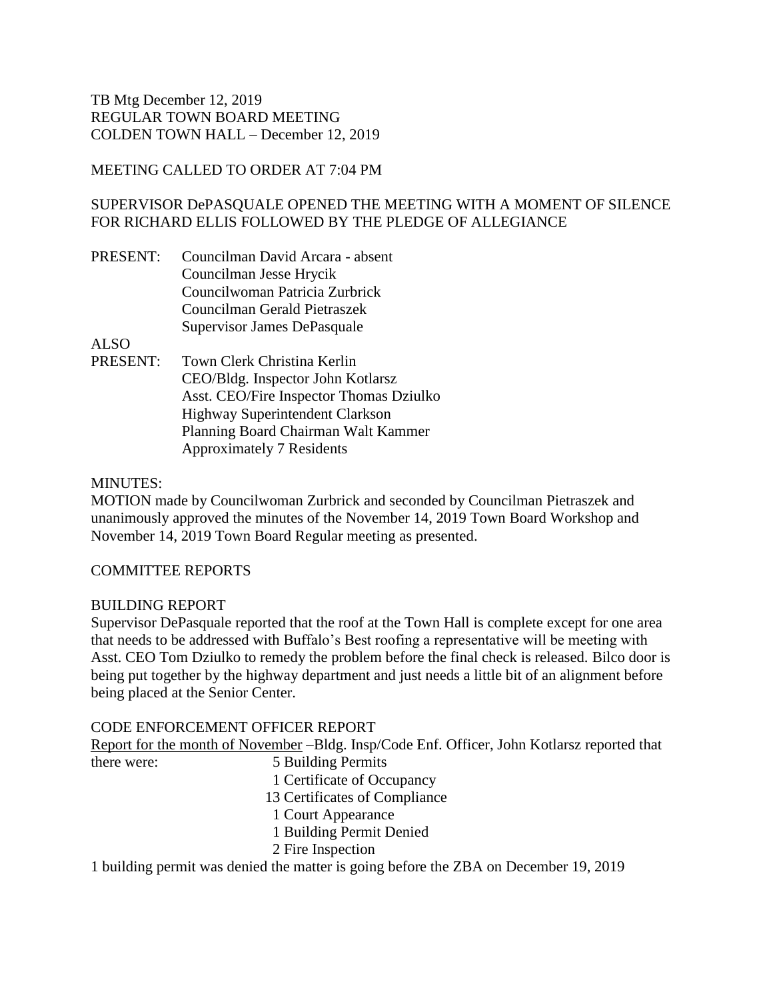# MEETING CALLED TO ORDER AT 7:04 PM

# SUPERVISOR DePASQUALE OPENED THE MEETING WITH A MOMENT OF SILENCE FOR RICHARD ELLIS FOLLOWED BY THE PLEDGE OF ALLEGIANCE

| PRESENT: Councilman David Arcara - absent |
|-------------------------------------------|
| Councilman Jesse Hrycik                   |
| Councilwoman Patricia Zurbrick            |
| Councilman Gerald Pietraszek              |
| Supervisor James DePasquale               |

ALSO

PRESENT: Town Clerk Christina Kerlin CEO/Bldg. Inspector John Kotlarsz Asst. CEO/Fire Inspector Thomas Dziulko Highway Superintendent Clarkson Planning Board Chairman Walt Kammer Approximately 7 Residents

## MINUTES:

MOTION made by Councilwoman Zurbrick and seconded by Councilman Pietraszek and unanimously approved the minutes of the November 14, 2019 Town Board Workshop and November 14, 2019 Town Board Regular meeting as presented.

# COMMITTEE REPORTS

### BUILDING REPORT

Supervisor DePasquale reported that the roof at the Town Hall is complete except for one area that needs to be addressed with Buffalo's Best roofing a representative will be meeting with Asst. CEO Tom Dziulko to remedy the problem before the final check is released. Bilco door is being put together by the highway department and just needs a little bit of an alignment before being placed at the Senior Center.

# CODE ENFORCEMENT OFFICER REPORT

Report for the month of November –Bldg. Insp/Code Enf. Officer, John Kotlarsz reported that there were: 5 Building Permits

- 1 Certificate of Occupancy
- 13 Certificates of Compliance
- 1 Court Appearance
- 1 Building Permit Denied
- 2 Fire Inspection

1 building permit was denied the matter is going before the ZBA on December 19, 2019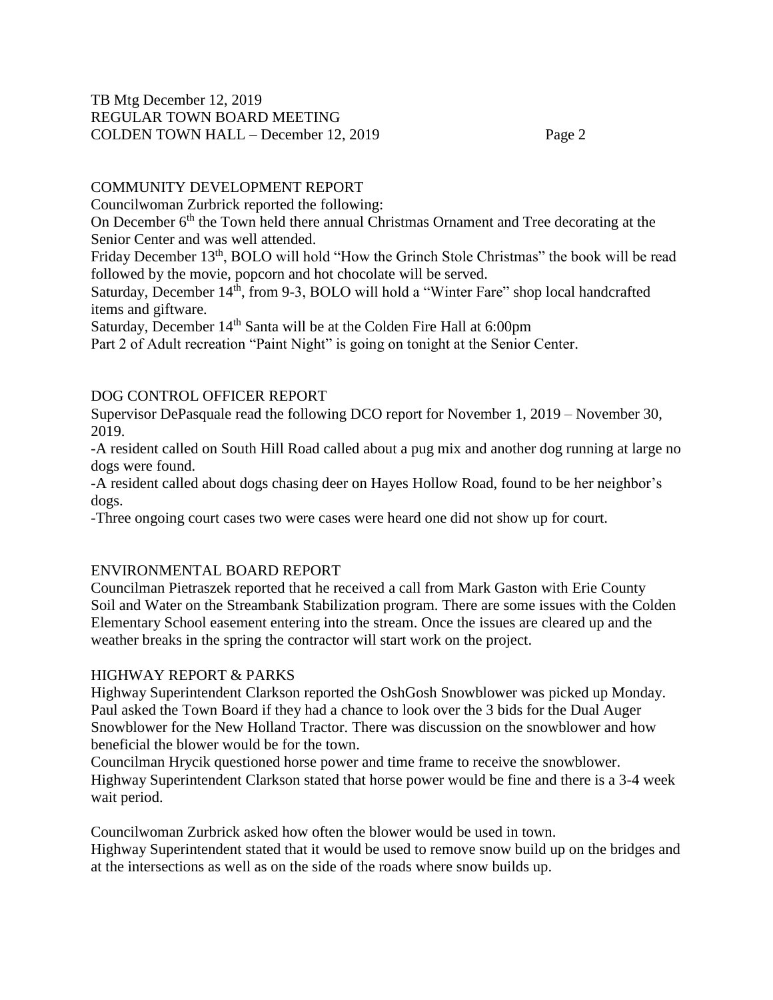# COMMUNITY DEVELOPMENT REPORT

Councilwoman Zurbrick reported the following:

On December 6<sup>th</sup> the Town held there annual Christmas Ornament and Tree decorating at the Senior Center and was well attended.

Friday December 13<sup>th</sup>, BOLO will hold "How the Grinch Stole Christmas" the book will be read followed by the movie, popcorn and hot chocolate will be served.

Saturday, December 14<sup>th</sup>, from 9-3, BOLO will hold a "Winter Fare" shop local handcrafted items and giftware.

Saturday, December 14<sup>th</sup> Santa will be at the Colden Fire Hall at 6:00pm

Part 2 of Adult recreation "Paint Night" is going on tonight at the Senior Center.

# DOG CONTROL OFFICER REPORT

Supervisor DePasquale read the following DCO report for November 1, 2019 – November 30, 2019.

-A resident called on South Hill Road called about a pug mix and another dog running at large no dogs were found.

-A resident called about dogs chasing deer on Hayes Hollow Road, found to be her neighbor's dogs.

-Three ongoing court cases two were cases were heard one did not show up for court.

# ENVIRONMENTAL BOARD REPORT

Councilman Pietraszek reported that he received a call from Mark Gaston with Erie County Soil and Water on the Streambank Stabilization program. There are some issues with the Colden Elementary School easement entering into the stream. Once the issues are cleared up and the weather breaks in the spring the contractor will start work on the project.

# HIGHWAY REPORT & PARKS

Highway Superintendent Clarkson reported the OshGosh Snowblower was picked up Monday. Paul asked the Town Board if they had a chance to look over the 3 bids for the Dual Auger Snowblower for the New Holland Tractor. There was discussion on the snowblower and how beneficial the blower would be for the town.

Councilman Hrycik questioned horse power and time frame to receive the snowblower. Highway Superintendent Clarkson stated that horse power would be fine and there is a 3-4 week wait period.

Councilwoman Zurbrick asked how often the blower would be used in town. Highway Superintendent stated that it would be used to remove snow build up on the bridges and at the intersections as well as on the side of the roads where snow builds up.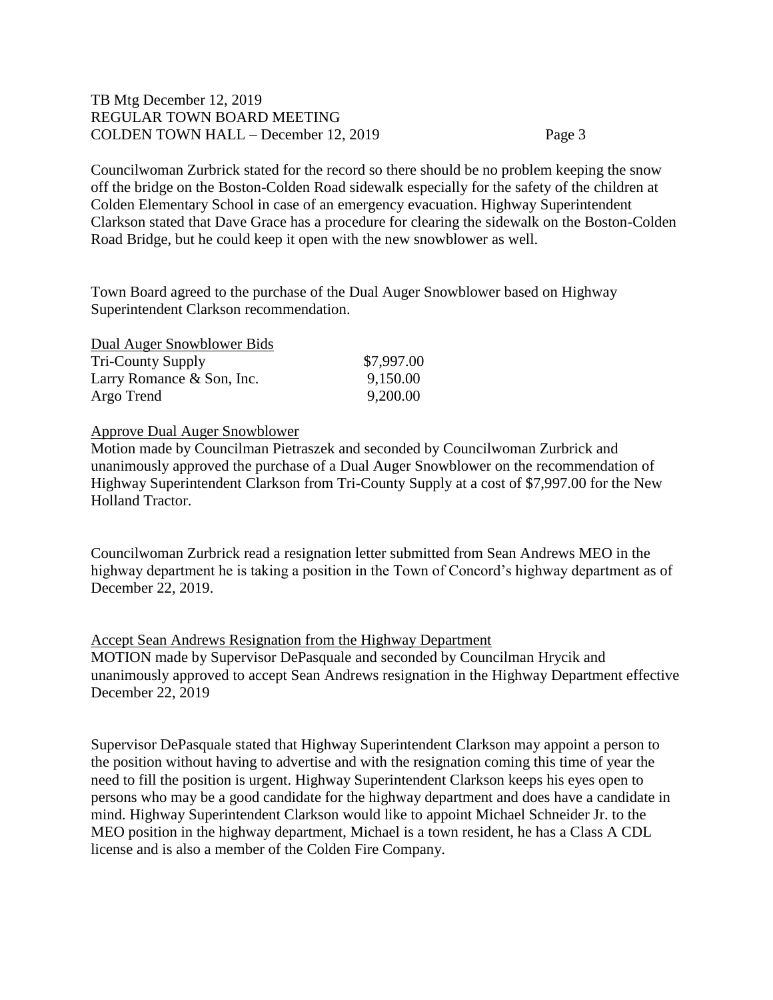Councilwoman Zurbrick stated for the record so there should be no problem keeping the snow off the bridge on the Boston-Colden Road sidewalk especially for the safety of the children at Colden Elementary School in case of an emergency evacuation. Highway Superintendent Clarkson stated that Dave Grace has a procedure for clearing the sidewalk on the Boston-Colden Road Bridge, but he could keep it open with the new snowblower as well.

Town Board agreed to the purchase of the Dual Auger Snowblower based on Highway Superintendent Clarkson recommendation.

| Dual Auger Snowblower Bids |            |
|----------------------------|------------|
| <b>Tri-County Supply</b>   | \$7,997.00 |
| Larry Romance & Son, Inc.  | 9,150.00   |
| Argo Trend                 | 9,200.00   |

### Approve Dual Auger Snowblower

Motion made by Councilman Pietraszek and seconded by Councilwoman Zurbrick and unanimously approved the purchase of a Dual Auger Snowblower on the recommendation of Highway Superintendent Clarkson from Tri-County Supply at a cost of \$7,997.00 for the New Holland Tractor.

Councilwoman Zurbrick read a resignation letter submitted from Sean Andrews MEO in the highway department he is taking a position in the Town of Concord's highway department as of December 22, 2019.

Accept Sean Andrews Resignation from the Highway Department MOTION made by Supervisor DePasquale and seconded by Councilman Hrycik and unanimously approved to accept Sean Andrews resignation in the Highway Department effective December 22, 2019

Supervisor DePasquale stated that Highway Superintendent Clarkson may appoint a person to the position without having to advertise and with the resignation coming this time of year the need to fill the position is urgent. Highway Superintendent Clarkson keeps his eyes open to persons who may be a good candidate for the highway department and does have a candidate in mind. Highway Superintendent Clarkson would like to appoint Michael Schneider Jr. to the MEO position in the highway department, Michael is a town resident, he has a Class A CDL license and is also a member of the Colden Fire Company.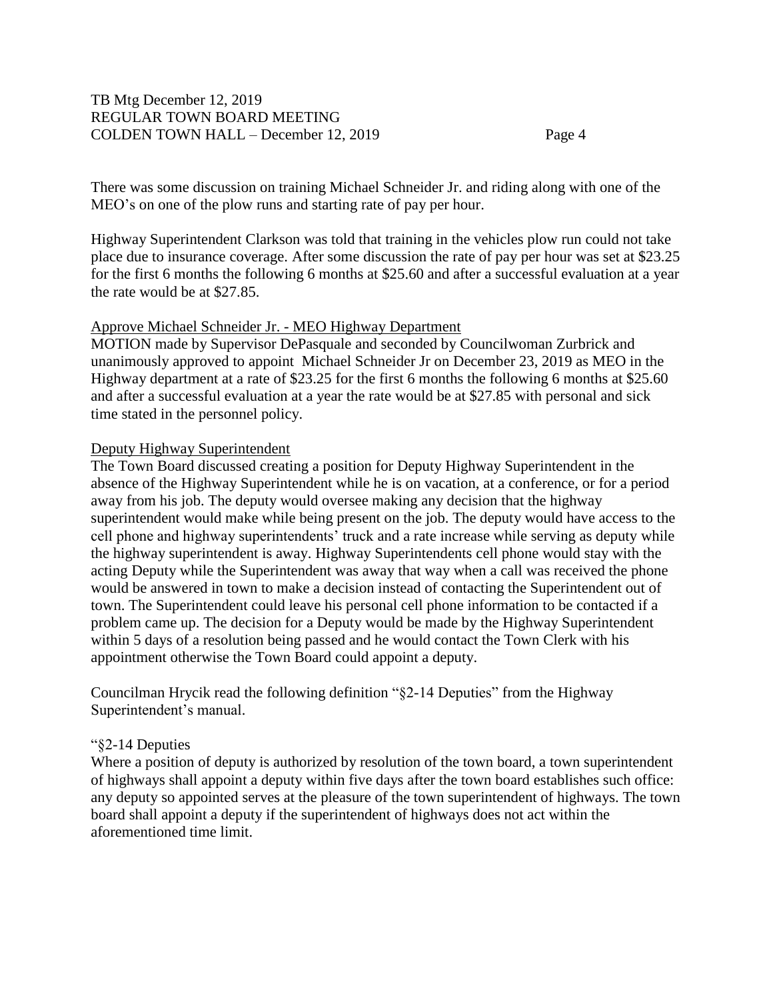There was some discussion on training Michael Schneider Jr. and riding along with one of the MEO's on one of the plow runs and starting rate of pay per hour.

Highway Superintendent Clarkson was told that training in the vehicles plow run could not take place due to insurance coverage. After some discussion the rate of pay per hour was set at \$23.25 for the first 6 months the following 6 months at \$25.60 and after a successful evaluation at a year the rate would be at \$27.85.

### Approve Michael Schneider Jr. - MEO Highway Department

MOTION made by Supervisor DePasquale and seconded by Councilwoman Zurbrick and unanimously approved to appoint Michael Schneider Jr on December 23, 2019 as MEO in the Highway department at a rate of \$23.25 for the first 6 months the following 6 months at \$25.60 and after a successful evaluation at a year the rate would be at \$27.85 with personal and sick time stated in the personnel policy.

### Deputy Highway Superintendent

The Town Board discussed creating a position for Deputy Highway Superintendent in the absence of the Highway Superintendent while he is on vacation, at a conference, or for a period away from his job. The deputy would oversee making any decision that the highway superintendent would make while being present on the job. The deputy would have access to the cell phone and highway superintendents' truck and a rate increase while serving as deputy while the highway superintendent is away. Highway Superintendents cell phone would stay with the acting Deputy while the Superintendent was away that way when a call was received the phone would be answered in town to make a decision instead of contacting the Superintendent out of town. The Superintendent could leave his personal cell phone information to be contacted if a problem came up. The decision for a Deputy would be made by the Highway Superintendent within 5 days of a resolution being passed and he would contact the Town Clerk with his appointment otherwise the Town Board could appoint a deputy.

Councilman Hrycik read the following definition "§2-14 Deputies" from the Highway Superintendent's manual.

### "§2-14 Deputies

Where a position of deputy is authorized by resolution of the town board, a town superintendent of highways shall appoint a deputy within five days after the town board establishes such office: any deputy so appointed serves at the pleasure of the town superintendent of highways. The town board shall appoint a deputy if the superintendent of highways does not act within the aforementioned time limit.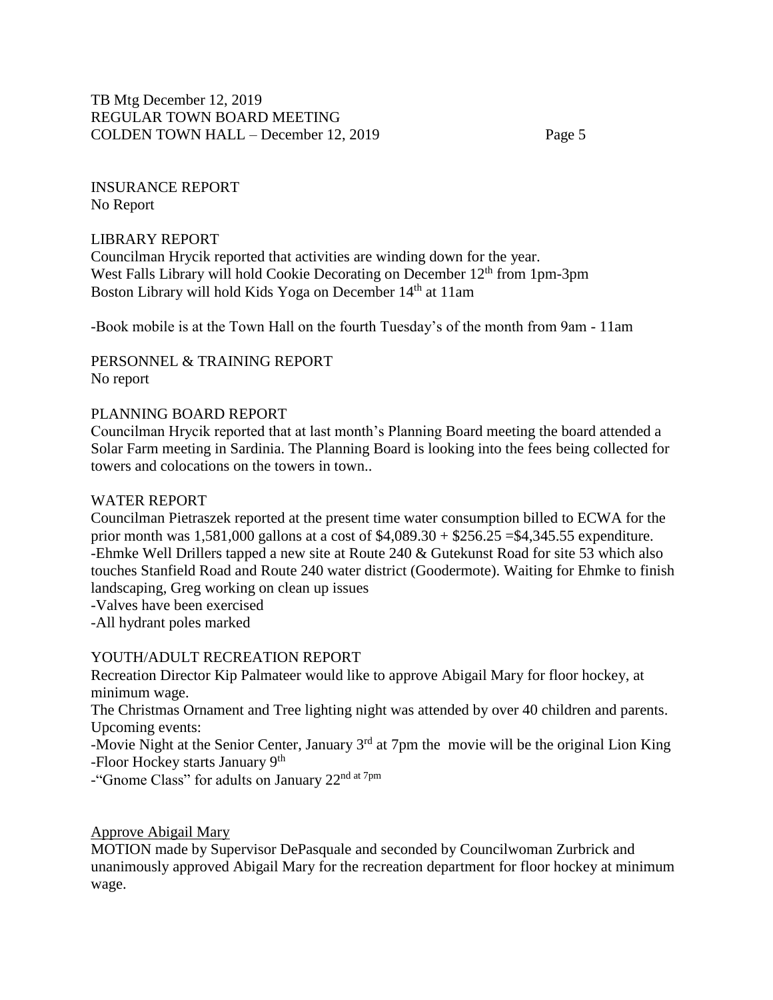INSURANCE REPORT No Report

### LIBRARY REPORT

Councilman Hrycik reported that activities are winding down for the year. West Falls Library will hold Cookie Decorating on December  $12<sup>th</sup>$  from 1pm-3pm Boston Library will hold Kids Yoga on December 14<sup>th</sup> at 11am

-Book mobile is at the Town Hall on the fourth Tuesday's of the month from 9am - 11am

PERSONNEL & TRAINING REPORT No report

#### PLANNING BOARD REPORT

Councilman Hrycik reported that at last month's Planning Board meeting the board attended a Solar Farm meeting in Sardinia. The Planning Board is looking into the fees being collected for towers and colocations on the towers in town..

#### WATER REPORT

Councilman Pietraszek reported at the present time water consumption billed to ECWA for the prior month was  $1,581,000$  gallons at a cost of  $$4,089.30 + $256.25 = $4,345.55$  expenditure. -Ehmke Well Drillers tapped a new site at Route 240 & Gutekunst Road for site 53 which also touches Stanfield Road and Route 240 water district (Goodermote). Waiting for Ehmke to finish landscaping, Greg working on clean up issues

-Valves have been exercised

-All hydrant poles marked

#### YOUTH/ADULT RECREATION REPORT

Recreation Director Kip Palmateer would like to approve Abigail Mary for floor hockey, at minimum wage.

The Christmas Ornament and Tree lighting night was attended by over 40 children and parents. Upcoming events:

-Movie Night at the Senior Center, January  $3<sup>rd</sup>$  at 7pm the movie will be the original Lion King -Floor Hockey starts January 9<sup>th</sup>

-"Gnome Class" for adults on January 22nd at 7pm

### Approve Abigail Mary

MOTION made by Supervisor DePasquale and seconded by Councilwoman Zurbrick and unanimously approved Abigail Mary for the recreation department for floor hockey at minimum wage.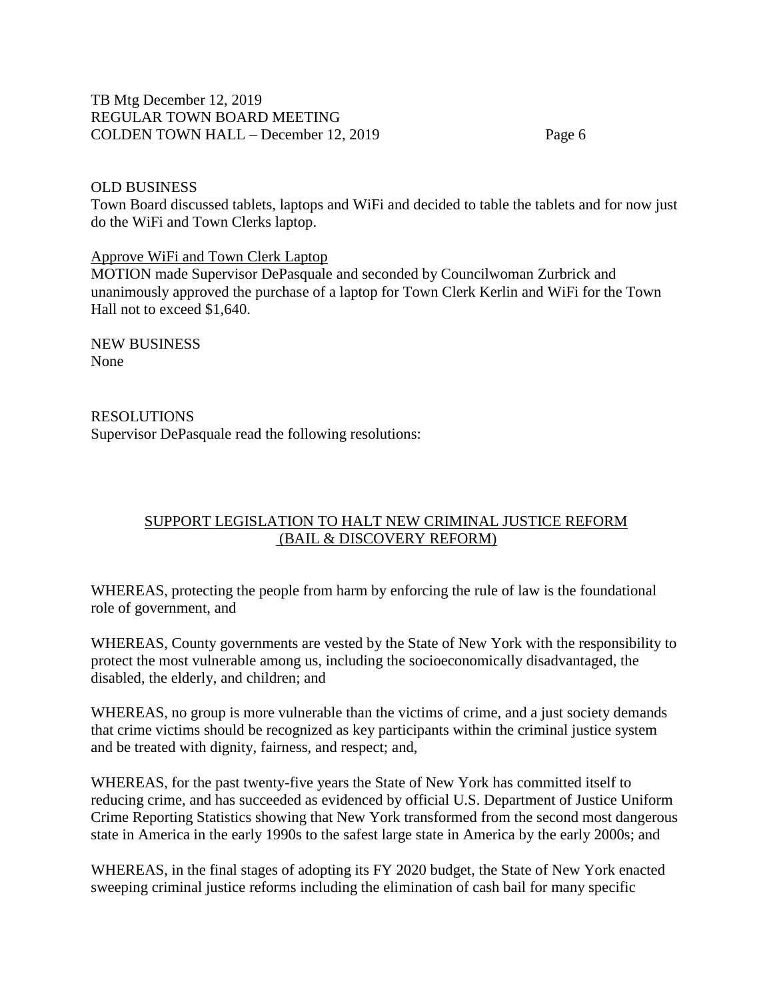### OLD BUSINESS

Town Board discussed tablets, laptops and WiFi and decided to table the tablets and for now just do the WiFi and Town Clerks laptop.

#### Approve WiFi and Town Clerk Laptop

MOTION made Supervisor DePasquale and seconded by Councilwoman Zurbrick and unanimously approved the purchase of a laptop for Town Clerk Kerlin and WiFi for the Town Hall not to exceed \$1,640.

NEW BUSINESS None

RESOLUTIONS Supervisor DePasquale read the following resolutions:

# SUPPORT LEGISLATION TO HALT NEW CRIMINAL JUSTICE REFORM (BAIL & DISCOVERY REFORM)

WHEREAS, protecting the people from harm by enforcing the rule of law is the foundational role of government, and

WHEREAS, County governments are vested by the State of New York with the responsibility to protect the most vulnerable among us, including the socioeconomically disadvantaged, the disabled, the elderly, and children; and

WHEREAS, no group is more vulnerable than the victims of crime, and a just society demands that crime victims should be recognized as key participants within the criminal justice system and be treated with dignity, fairness, and respect; and,

WHEREAS, for the past twenty-five years the State of New York has committed itself to reducing crime, and has succeeded as evidenced by official U.S. Department of Justice Uniform Crime Reporting Statistics showing that New York transformed from the second most dangerous state in America in the early 1990s to the safest large state in America by the early 2000s; and

WHEREAS, in the final stages of adopting its FY 2020 budget, the State of New York enacted sweeping criminal justice reforms including the elimination of cash bail for many specific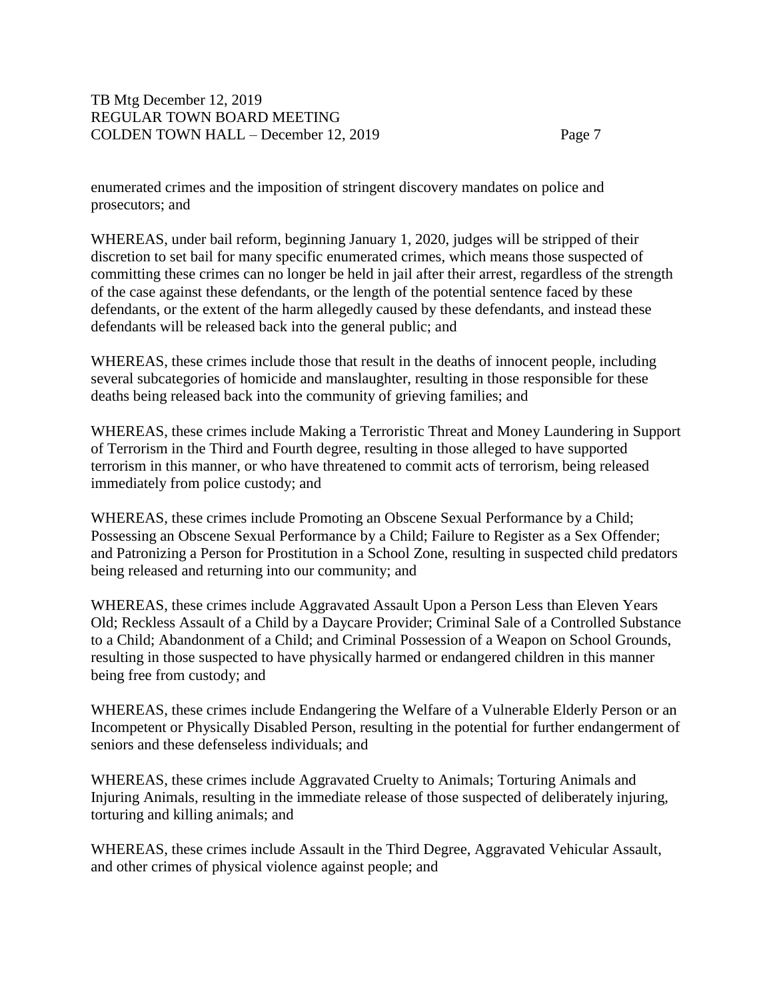enumerated crimes and the imposition of stringent discovery mandates on police and prosecutors; and

WHEREAS, under bail reform, beginning January 1, 2020, judges will be stripped of their discretion to set bail for many specific enumerated crimes, which means those suspected of committing these crimes can no longer be held in jail after their arrest, regardless of the strength of the case against these defendants, or the length of the potential sentence faced by these defendants, or the extent of the harm allegedly caused by these defendants, and instead these defendants will be released back into the general public; and

WHEREAS, these crimes include those that result in the deaths of innocent people, including several subcategories of homicide and manslaughter, resulting in those responsible for these deaths being released back into the community of grieving families; and

WHEREAS, these crimes include Making a Terroristic Threat and Money Laundering in Support of Terrorism in the Third and Fourth degree, resulting in those alleged to have supported terrorism in this manner, or who have threatened to commit acts of terrorism, being released immediately from police custody; and

WHEREAS, these crimes include Promoting an Obscene Sexual Performance by a Child; Possessing an Obscene Sexual Performance by a Child; Failure to Register as a Sex Offender; and Patronizing a Person for Prostitution in a School Zone, resulting in suspected child predators being released and returning into our community; and

WHEREAS, these crimes include Aggravated Assault Upon a Person Less than Eleven Years Old; Reckless Assault of a Child by a Daycare Provider; Criminal Sale of a Controlled Substance to a Child; Abandonment of a Child; and Criminal Possession of a Weapon on School Grounds, resulting in those suspected to have physically harmed or endangered children in this manner being free from custody; and

WHEREAS, these crimes include Endangering the Welfare of a Vulnerable Elderly Person or an Incompetent or Physically Disabled Person, resulting in the potential for further endangerment of seniors and these defenseless individuals; and

WHEREAS, these crimes include Aggravated Cruelty to Animals; Torturing Animals and Injuring Animals, resulting in the immediate release of those suspected of deliberately injuring, torturing and killing animals; and

WHEREAS, these crimes include Assault in the Third Degree, Aggravated Vehicular Assault, and other crimes of physical violence against people; and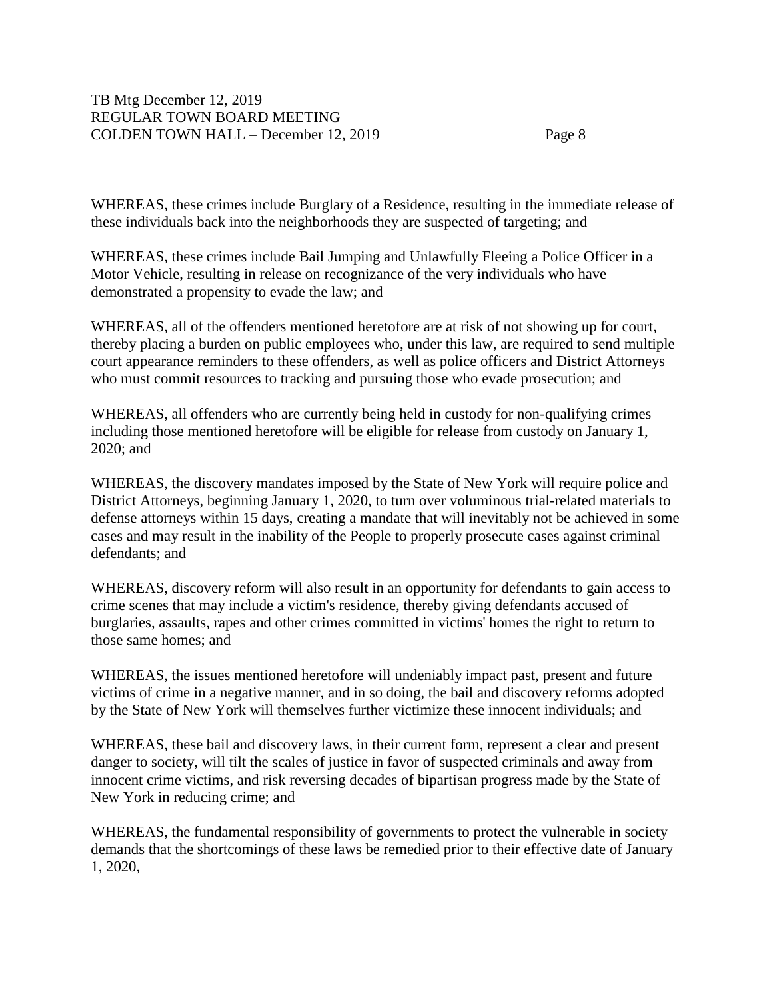WHEREAS, these crimes include Burglary of a Residence, resulting in the immediate release of these individuals back into the neighborhoods they are suspected of targeting; and

WHEREAS, these crimes include Bail Jumping and Unlawfully Fleeing a Police Officer in a Motor Vehicle, resulting in release on recognizance of the very individuals who have demonstrated a propensity to evade the law; and

WHEREAS, all of the offenders mentioned heretofore are at risk of not showing up for court, thereby placing a burden on public employees who, under this law, are required to send multiple court appearance reminders to these offenders, as well as police officers and District Attorneys who must commit resources to tracking and pursuing those who evade prosecution; and

WHEREAS, all offenders who are currently being held in custody for non-qualifying crimes including those mentioned heretofore will be eligible for release from custody on January 1, 2020; and

WHEREAS, the discovery mandates imposed by the State of New York will require police and District Attorneys, beginning January 1, 2020, to turn over voluminous trial-related materials to defense attorneys within 15 days, creating a mandate that will inevitably not be achieved in some cases and may result in the inability of the People to properly prosecute cases against criminal defendants; and

WHEREAS, discovery reform will also result in an opportunity for defendants to gain access to crime scenes that may include a victim's residence, thereby giving defendants accused of burglaries, assaults, rapes and other crimes committed in victims' homes the right to return to those same homes; and

WHEREAS, the issues mentioned heretofore will undeniably impact past, present and future victims of crime in a negative manner, and in so doing, the bail and discovery reforms adopted by the State of New York will themselves further victimize these innocent individuals; and

WHEREAS, these bail and discovery laws, in their current form, represent a clear and present danger to society, will tilt the scales of justice in favor of suspected criminals and away from innocent crime victims, and risk reversing decades of bipartisan progress made by the State of New York in reducing crime; and

WHEREAS, the fundamental responsibility of governments to protect the vulnerable in society demands that the shortcomings of these laws be remedied prior to their effective date of January 1, 2020,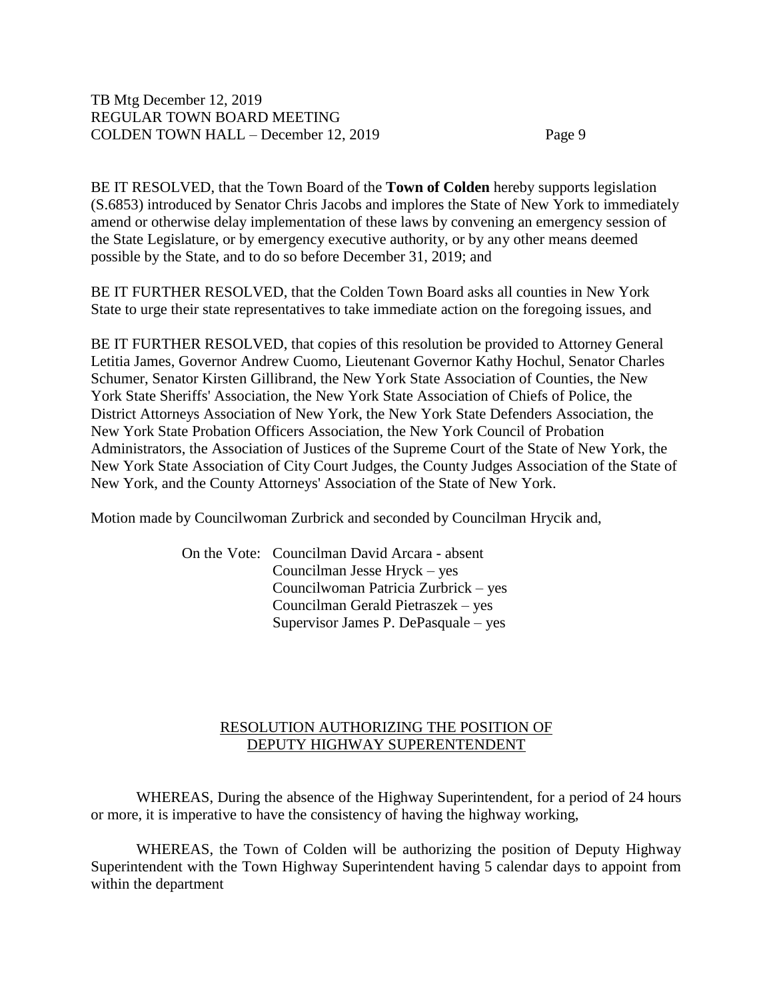BE IT RESOLVED, that the Town Board of the **Town of Colden** hereby supports legislation (S.6853) introduced by Senator Chris Jacobs and implores the State of New York to immediately amend or otherwise delay implementation of these laws by convening an emergency session of the State Legislature, or by emergency executive authority, or by any other means deemed possible by the State, and to do so before December 31, 2019; and

BE IT FURTHER RESOLVED, that the Colden Town Board asks all counties in New York State to urge their state representatives to take immediate action on the foregoing issues, and

BE IT FURTHER RESOLVED, that copies of this resolution be provided to Attorney General Letitia James, Governor Andrew Cuomo, Lieutenant Governor Kathy Hochul, Senator Charles Schumer, Senator Kirsten Gillibrand, the New York State Association of Counties, the New York State Sheriffs' Association, the New York State Association of Chiefs of Police, the District Attorneys Association of New York, the New York State Defenders Association, the New York State Probation Officers Association, the New York Council of Probation Administrators, the Association of Justices of the Supreme Court of the State of New York, the New York State Association of City Court Judges, the County Judges Association of the State of New York, and the County Attorneys' Association of the State of New York.

Motion made by Councilwoman Zurbrick and seconded by Councilman Hrycik and,

On the Vote: Councilman David Arcara - absent Councilman Jesse Hryck – yes Councilwoman Patricia Zurbrick – yes Councilman Gerald Pietraszek – yes Supervisor James P. DePasquale – yes

## RESOLUTION AUTHORIZING THE POSITION OF DEPUTY HIGHWAY SUPERENTENDENT

WHEREAS, During the absence of the Highway Superintendent, for a period of 24 hours or more, it is imperative to have the consistency of having the highway working,

WHEREAS, the Town of Colden will be authorizing the position of Deputy Highway Superintendent with the Town Highway Superintendent having 5 calendar days to appoint from within the department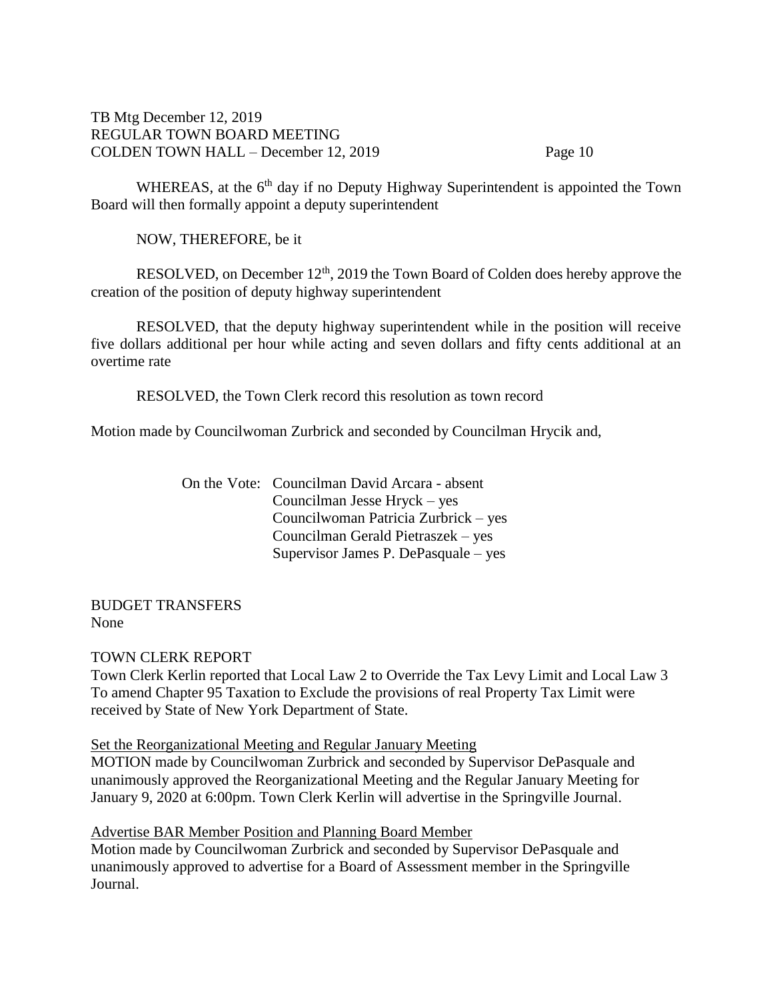WHEREAS, at the 6<sup>th</sup> day if no Deputy Highway Superintendent is appointed the Town Board will then formally appoint a deputy superintendent

NOW, THEREFORE, be it

RESOLVED, on December  $12<sup>th</sup>$ , 2019 the Town Board of Colden does hereby approve the creation of the position of deputy highway superintendent

RESOLVED, that the deputy highway superintendent while in the position will receive five dollars additional per hour while acting and seven dollars and fifty cents additional at an overtime rate

RESOLVED, the Town Clerk record this resolution as town record

Motion made by Councilwoman Zurbrick and seconded by Councilman Hrycik and,

On the Vote: Councilman David Arcara - absent Councilman Jesse Hryck – yes Councilwoman Patricia Zurbrick – yes Councilman Gerald Pietraszek – yes Supervisor James P. DePasquale – yes

BUDGET TRANSFERS None

### TOWN CLERK REPORT

Town Clerk Kerlin reported that Local Law 2 to Override the Tax Levy Limit and Local Law 3 To amend Chapter 95 Taxation to Exclude the provisions of real Property Tax Limit were received by State of New York Department of State.

#### Set the Reorganizational Meeting and Regular January Meeting

MOTION made by Councilwoman Zurbrick and seconded by Supervisor DePasquale and unanimously approved the Reorganizational Meeting and the Regular January Meeting for January 9, 2020 at 6:00pm. Town Clerk Kerlin will advertise in the Springville Journal.

Advertise BAR Member Position and Planning Board Member

Motion made by Councilwoman Zurbrick and seconded by Supervisor DePasquale and unanimously approved to advertise for a Board of Assessment member in the Springville Journal.